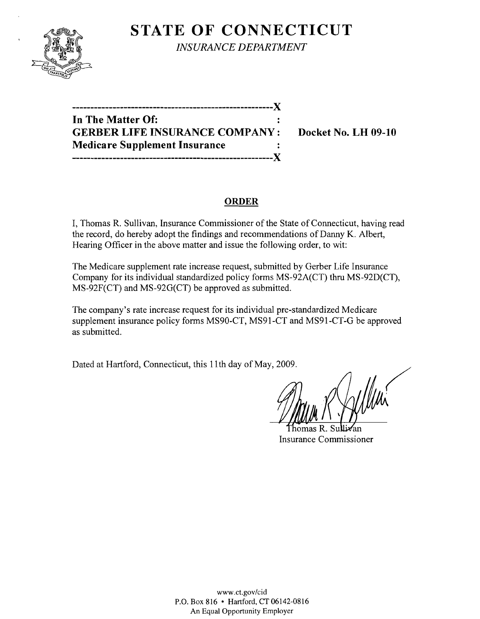

**STATE OF CONNECTICUT** *INSURANCE DEPARTMENT* 

**-------------------------------------------------------)( In The Matter Of: GERBER LIFE INSURANCE COMPANY: Docket No. LH 09-10 Medicare Supplement Insurance -------------------------------------------------------)(** 

# **ORDER**

I, Thomas R. Sullivan, Insurance Commissioner of the State of Connecticut, having read the record, do hereby adopt the findings and recommendations of Danny K. Albert, Hearing Officer **in** the above matter and issue the following order, to wit:

The Medicare supplement rate increase request, submitted by Gerber Life Insurance Company for its individual standardized policy forms MS-92A(CT) thru MS-92D(CT), MS-92F(CT) and MS-92G(CT) be approved as submitted.

The company's rate increase request for its individual pre-standardized Medicare supplement insurance policy forms MS90-CT, MS91-CT and MS91-CT-G be approved as submitted.

Dated at Hartford, Connecticut, this 11 th day of May, 2009.

homas R Insurance Commissioner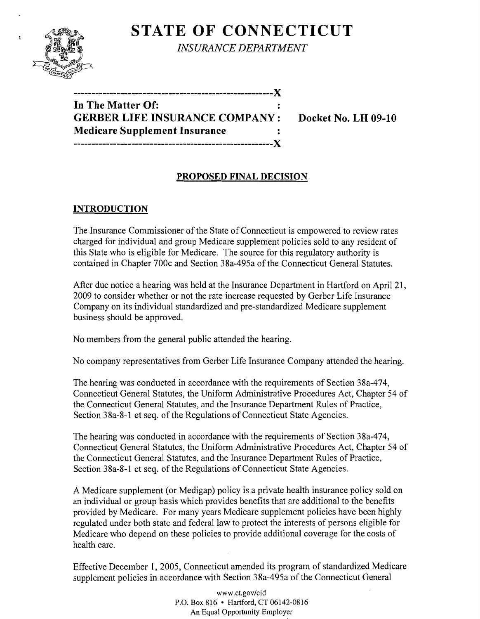

 $\mathbf{r}$ 

**STATE OF CONNECTICUT** 

*INSURANCE DEPARTMENT* 

**-------------------------------------------------------)( In The Matter Of: GERBER LIFE INSURANCE COMPANY: Docket No. LH 09-10 Medicare Supplement Insurance -------------------------------------------------------)(** 

# **PROPOSED FINAL DECISION**

# **INTRODUCTION**

The Insurance Commissioner of the State of Connecticut is empowered to review rates charged for individual and group Medicare supplement policies sold to any resident of this State who is eligible for Medicare. The source for this regulatory authority is contained in Chapter 700c and Section 38a-495a of the Connecticut General Statutes.

After due notice a hearing was held at the Insurance Department in Hartford on April 21, 2009 to consider whether or not the rate increase requested by Gerber Life Insurance Company on its individual standardized and pre-standardized Medicare supplement business should be approved.

No members from the general public attended the hearing.

No company representatives from Gerber Life Insurance Company attended the hearing.

The hearing was conducted in accordance with the requirements of Section 38a-474, Connecticut General Statutes, the Uniform Administrative Procedures Act, Chapter 54 of the Connecticut General Statutes, and the Insurance Department Rules of Practice, Section 38a-8-1 et seq. of the Regulations of Connecticut State Agencies.

The hearing was conducted in accordance with the requirements of Section 38a-474, Connecticut General Statutes, the Uniform Administrative Procedures Act, Chapter 54 of the Connecticut General Statutes, and the Insurance Department Rules of Practice, Section 38a-8-1 et seq. of the Regulations of Connecticut State Agencies.

A Medicare supplement (or Medigap) policy is a private health insurance policy sold on an individual or group basis which provides benefits that are additional to the benefits provided by Medicare. For many years Medicare supplement policies have been highly regulated under both state and federal law to protect the interests of persons eligible for Medicare who depend on these policies to provide additional coverage for the costs of health care.

Effective December I, 2005, Connecticut amended its program of standardized Medicare supplement policies in accordance with Section 38a-495a of the Connecticut General

> www.ct.gov/cid P.O. Box 816 • Hartford, CT 06142-0816 An Equal Opportunity Employer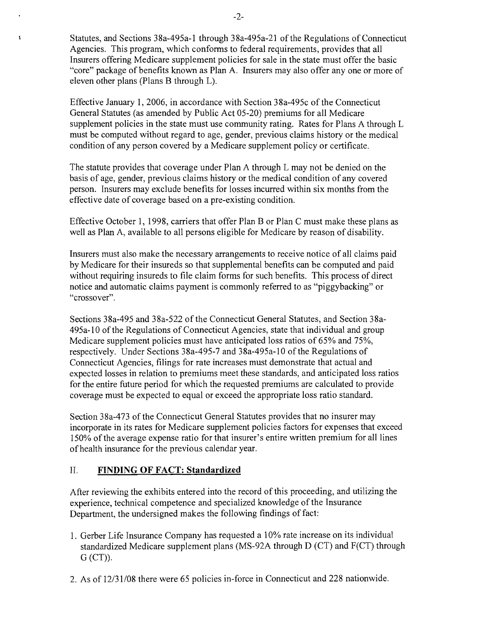Statutes, and Sections 38a-495a-1 through 38a-495a-21 of the Regulations of Connecticut Agencies. This program, which conforms to federal requirements, provides that all Insurers offering Medicare supplement policies for sale in the state must offer the basic "core" package of benefits known as Plan A. Insurers may also offer anyone or more of eleven other plans (Plans B through L).

Effective January 1,2006, in accordance with Section 38a-495c of the Connecticut General Statutes (as amended by Public Act 05-20) premiums for all Medicare supplement policies in the state must use community rating. Rates for Plans A through L must be computed without regard to age, gender, previous claims history or the medical condition of any person covered by a Medicare supplement policy or certificate.

The statute provides that coverage under Plan A through L may not be denied on the basis of age, gender, previous claims history or the medical condition of any covered person. Insurers may exclude benefits for losses incurred within six months from the effective date of coverage based on a pre-existing condition.

Effective October 1, 1998, carriers that offer Plan B or Plan C must make these plans as well as Plan A, available to all persons eligible for Medicare by reason of disability.

Insurers must also make the necessary arrangements to receive notice of all claims paid by Medicare for their insureds so that supplemental benefits can be computed and paid without requiring insureds to file claim forms for such benefits. This process of direct notice and automatic claims payment is commonly referred to as "piggybacking" or "crossover".

Sections 38a-495 and 38a-522 of the Connecticut General Statutes, and Section 38a-495a-10 of the Regulations of Connecticut Agencies, state that individual and group Medicare supplement policies must have anticipated loss ratios of 65% and 75%, respectively. Under Sections 38a-495-7 and 38a-495a-10 of the Regulations of Connecticut Agencies, filings for rate increases must demonstrate that actual and expected losses in relation to premiums meet these standards, and anticipated loss ratios for the entire future period for which the requested premiums are calculated to provide coverage must be expected to equal or exceed the appropriate loss ratio standard.

Section 38a-473 of the Connecticut General Statutes provides that no insurer may incorporate in its rates for Medicare supplement policies factors for expenses that exceed 150% ofthe average expense ratio for that insurer's entire written premium for all lines of health insurance for the previous calendar year.

### II. **FINDING OF FACT: Standardized**

 $\mathbf{r}$ 

After reviewing the exhibits entered into the record of this proceeding, and utilizing the experience, technical competence and specialized knowledge of the Insurance Department, the undersigned makes the following findings of fact:

- 1. Gerber Life Insurance Company has requested a 10% rate increase on its individual standardized Medicare supplement plans (MS-92A through D (CT) and F(CT) through  $G (CT)$ ).
- 2. As of 12/31/08 there were 65 policies in-force in Connecticut and 228 nationwide.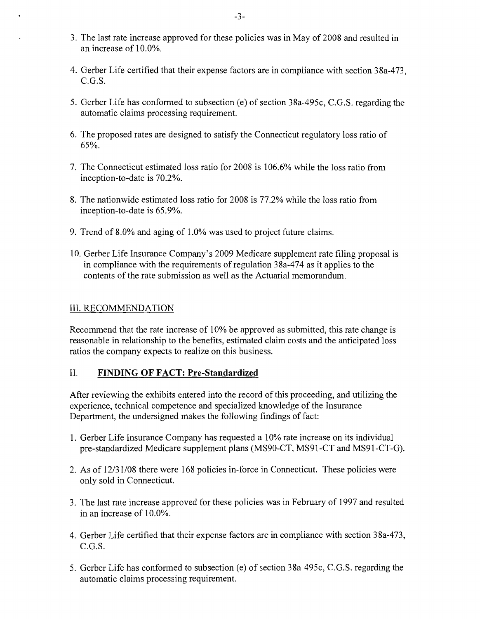- 3. The last rate increase approved for these policies was in May of 2008 and resulted in an increase of 10.0%.
- 4. Gerber Life certified that their expense factors are in compliance with section 38a-473,  $C.G.S.$
- 5. Gerber Life has conformed to subsection (e) of section 38a-495c, C.G.S. regarding the automatic claims processing requirement.
- 6. The proposed rates are designed to satisfy the Connecticut regulatory loss ratio of 65%.
- 7. The Connecticut estimated loss ratio for 2008 is 106.6% while the loss ratio from inception-to-date is 70.2%.
- 8. The nationwide estimated loss ratio for 2008 is 77.2% while the loss ratio from inception-to-date is 65.9%.
- 9. Trend of 8.0% and aging of 1.0% was used to project future claims.
- 10. Gerber Life Insurance Company's 2009 Medicare supplement rate filing proposal is in compliance with the requirements of regulation 38a-474 as it applies to the contents of the rate submission as well as the Actuarial memorandum.

### III. RECOMMENDATION

Recommend that the rate increase of 10% be approved as submitted, this rate change is reasonable in relationship to the benefits, estimated claim costs and the anticipated loss ratios the company expects to realize on this business.

### II. **FINDING OF FACT: Pre-Standardized**

After reviewing the exhibits entered into the record of this proceeding, and utilizing the experience, technical competence and specialized knowledge of the Insurance Department, the undersigned makes the following findings of fact:

- 1. Gerber Life Insurance Company has requested a 10% rate increase on its individual pre-standardized Medicare supplement plans (MS90-CT, MS91-CT and MS91-CT-G).
- 2. As of  $12/31/08$  there were 168 policies in-force in Connecticut. These policies were only sold in Connecticut.
- 3. The last rate increase approved for these policies was in February of 1997 and resulted in an increase of 10.0%.
- 4. Gerber Life certified that their expense factors are in compliance with section 38a-473, C.G.S.
- 5. Gerber Life has conformed to subsection (e) of section 38a-495c, C.G.S. regarding the automatic claims processing requirement.